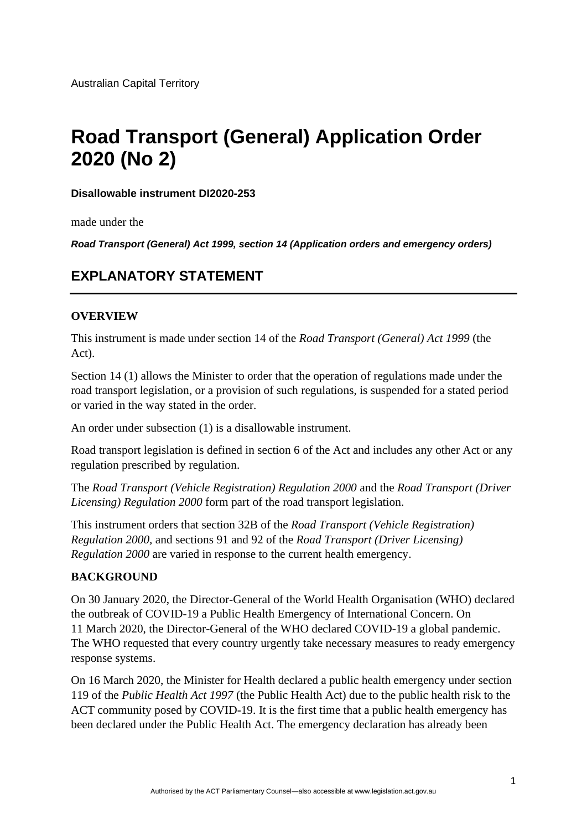# **Road Transport (General) Application Order 2020 (No 2)**

**Disallowable instrument DI2020-253**

made under the

*Road Transport (General) Act 1999, section 14 (Application orders and emergency orders)*

# **EXPLANATORY STATEMENT**

#### **OVERVIEW**

This instrument is made under section 14 of the *Road Transport (General) Act 1999* (the Act).

Section 14 (1) allows the Minister to order that the operation of regulations made under the road transport legislation, or a provision of such regulations, is suspended for a stated period or varied in the way stated in the order.

An order under subsection (1) is a disallowable instrument.

Road transport legislation is defined in section 6 of the Act and includes any other Act or any regulation prescribed by regulation.

The *Road Transport (Vehicle Registration) Regulation 2000* and the *Road Transport (Driver Licensing) Regulation 2000* form part of the road transport legislation.

This instrument orders that section 32B of the *Road Transport (Vehicle Registration) Regulation 2000,* and sections 91 and 92 of the *Road Transport (Driver Licensing) Regulation 2000* are varied in response to the current health emergency.

## **BACKGROUND**

On 30 January 2020, the Director-General of the World Health Organisation (WHO) declared the outbreak of COVID-19 a Public Health Emergency of International Concern. On 11 March 2020, the Director-General of the WHO declared COVID-19 a global pandemic. The WHO requested that every country urgently take necessary measures to ready emergency response systems.

On 16 March 2020, the Minister for Health declared a public health emergency under section 119 of the *Public Health Act 1997* (the Public Health Act) due to the public health risk to the ACT community posed by COVID-19. It is the first time that a public health emergency has been declared under the Public Health Act. The emergency declaration has already been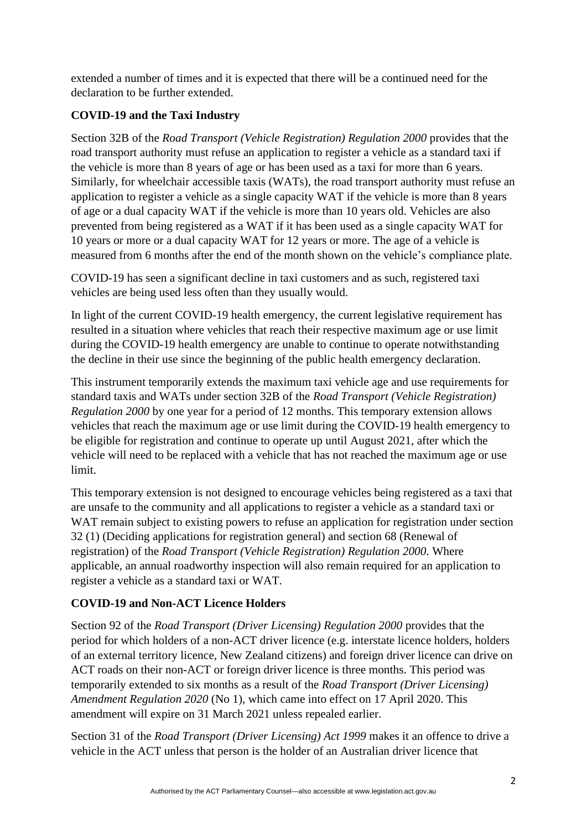extended a number of times and it is expected that there will be a continued need for the declaration to be further extended.

# **COVID-19 and the Taxi Industry**

Section 32B of the *Road Transport (Vehicle Registration) Regulation 2000* provides that the road transport authority must refuse an application to register a vehicle as a standard taxi if the vehicle is more than 8 years of age or has been used as a taxi for more than 6 years. Similarly, for wheelchair accessible taxis (WATs), the road transport authority must refuse an application to register a vehicle as a single capacity WAT if the vehicle is more than 8 years of age or a dual capacity WAT if the vehicle is more than 10 years old. Vehicles are also prevented from being registered as a WAT if it has been used as a single capacity WAT for 10 years or more or a dual capacity WAT for 12 years or more. The age of a vehicle is measured from 6 months after the end of the month shown on the vehicle's compliance plate.

COVID-19 has seen a significant decline in taxi customers and as such, registered taxi vehicles are being used less often than they usually would.

In light of the current COVID-19 health emergency, the current legislative requirement has resulted in a situation where vehicles that reach their respective maximum age or use limit during the COVID-19 health emergency are unable to continue to operate notwithstanding the decline in their use since the beginning of the public health emergency declaration.

This instrument temporarily extends the maximum taxi vehicle age and use requirements for standard taxis and WATs under section 32B of the *Road Transport (Vehicle Registration) Regulation 2000* by one year for a period of 12 months. This temporary extension allows vehicles that reach the maximum age or use limit during the COVID-19 health emergency to be eligible for registration and continue to operate up until August 2021, after which the vehicle will need to be replaced with a vehicle that has not reached the maximum age or use limit.

This temporary extension is not designed to encourage vehicles being registered as a taxi that are unsafe to the community and all applications to register a vehicle as a standard taxi or WAT remain subject to existing powers to refuse an application for registration under section 32 (1) (Deciding applications for registration general) and section 68 (Renewal of registration) of the *Road Transport (Vehicle Registration) Regulation 2000.* Where applicable, an annual roadworthy inspection will also remain required for an application to register a vehicle as a standard taxi or WAT.

# **COVID-19 and Non-ACT Licence Holders**

Section 92 of the *Road Transport (Driver Licensing) Regulation 2000* provides that the period for which holders of a non-ACT driver licence (e.g. interstate licence holders, holders of an external territory licence, New Zealand citizens) and foreign driver licence can drive on ACT roads on their non-ACT or foreign driver licence is three months. This period was temporarily extended to six months as a result of the *Road Transport (Driver Licensing) Amendment Regulation 2020* (No 1), which came into effect on 17 April 2020. This amendment will expire on 31 March 2021 unless repealed earlier.

Section 31 of the *Road Transport (Driver Licensing) Act 1999* makes it an offence to drive a vehicle in the ACT unless that person is the holder of an Australian driver licence that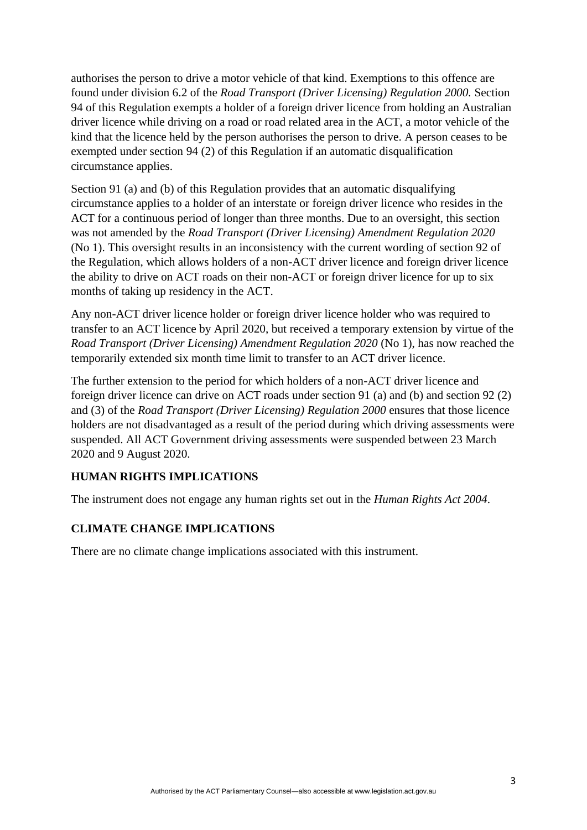authorises the person to drive a motor vehicle of that kind. Exemptions to this offence are found under division 6.2 of the *Road Transport (Driver Licensing) Regulation 2000.* Section 94 of this Regulation exempts a holder of a foreign driver licence from holding an Australian driver licence while driving on a road or road related area in the ACT, a motor vehicle of the kind that the licence held by the person authorises the person to drive. A person ceases to be exempted under section 94 (2) of this Regulation if an automatic disqualification circumstance applies.

Section 91 (a) and (b) of this Regulation provides that an automatic disqualifying circumstance applies to a holder of an interstate or foreign driver licence who resides in the ACT for a continuous period of longer than three months. Due to an oversight, this section was not amended by the *Road Transport (Driver Licensing) Amendment Regulation 2020*  (No 1). This oversight results in an inconsistency with the current wording of section 92 of the Regulation, which allows holders of a non-ACT driver licence and foreign driver licence the ability to drive on ACT roads on their non-ACT or foreign driver licence for up to six months of taking up residency in the ACT.

Any non-ACT driver licence holder or foreign driver licence holder who was required to transfer to an ACT licence by April 2020, but received a temporary extension by virtue of the *Road Transport (Driver Licensing) Amendment Regulation 2020 (No 1), has now reached the* temporarily extended six month time limit to transfer to an ACT driver licence.

The further extension to the period for which holders of a non-ACT driver licence and foreign driver licence can drive on ACT roads under section 91 (a) and (b) and section 92 (2) and (3) of the *Road Transport (Driver Licensing) Regulation 2000* ensures that those licence holders are not disadvantaged as a result of the period during which driving assessments were suspended. All ACT Government driving assessments were suspended between 23 March 2020 and 9 August 2020.

## **HUMAN RIGHTS IMPLICATIONS**

The instrument does not engage any human rights set out in the *Human Rights Act 2004*.

## **CLIMATE CHANGE IMPLICATIONS**

There are no climate change implications associated with this instrument.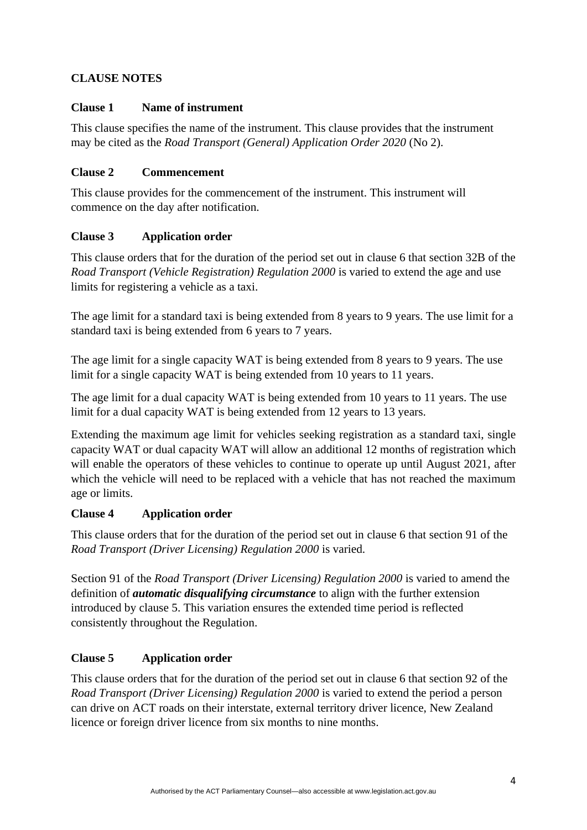# **CLAUSE NOTES**

## **Clause 1 Name of instrument**

This clause specifies the name of the instrument. This clause provides that the instrument may be cited as the *Road Transport (General) Application Order 2020* (No 2).

## **Clause 2 Commencement**

This clause provides for the commencement of the instrument. This instrument will commence on the day after notification.

# **Clause 3 Application order**

This clause orders that for the duration of the period set out in clause 6 that section 32B of the *Road Transport (Vehicle Registration) Regulation 2000* is varied to extend the age and use limits for registering a vehicle as a taxi.

The age limit for a standard taxi is being extended from 8 years to 9 years. The use limit for a standard taxi is being extended from 6 years to 7 years.

The age limit for a single capacity WAT is being extended from 8 years to 9 years. The use limit for a single capacity WAT is being extended from 10 years to 11 years.

The age limit for a dual capacity WAT is being extended from 10 years to 11 years. The use limit for a dual capacity WAT is being extended from 12 years to 13 years.

Extending the maximum age limit for vehicles seeking registration as a standard taxi, single capacity WAT or dual capacity WAT will allow an additional 12 months of registration which will enable the operators of these vehicles to continue to operate up until August 2021, after which the vehicle will need to be replaced with a vehicle that has not reached the maximum age or limits.

## **Clause 4 Application order**

This clause orders that for the duration of the period set out in clause 6 that section 91 of the *Road Transport (Driver Licensing) Regulation 2000* is varied.

Section 91 of the *Road Transport (Driver Licensing) Regulation 2000* is varied to amend the definition of *automatic disqualifying circumstance* to align with the further extension introduced by clause 5. This variation ensures the extended time period is reflected consistently throughout the Regulation.

# **Clause 5 Application order**

This clause orders that for the duration of the period set out in clause 6 that section 92 of the *Road Transport (Driver Licensing) Regulation 2000* is varied to extend the period a person can drive on ACT roads on their interstate, external territory driver licence, New Zealand licence or foreign driver licence from six months to nine months.